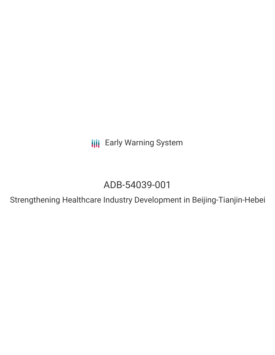**III** Early Warning System

## ADB-54039-001

Strengthening Healthcare Industry Development in Beijing-Tianjin-Hebei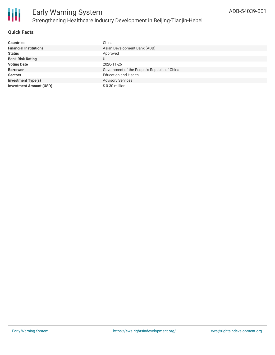

#### **Quick Facts**

| <b>Countries</b>               | China                                        |
|--------------------------------|----------------------------------------------|
| <b>Financial Institutions</b>  | Asian Development Bank (ADB)                 |
| <b>Status</b>                  | Approved                                     |
| <b>Bank Risk Rating</b>        | U                                            |
| <b>Voting Date</b>             | 2020-11-26                                   |
| <b>Borrower</b>                | Government of the People's Republic of China |
| <b>Sectors</b>                 | <b>Education and Health</b>                  |
| <b>Investment Type(s)</b>      | <b>Advisory Services</b>                     |
| <b>Investment Amount (USD)</b> | $$0.30$ million                              |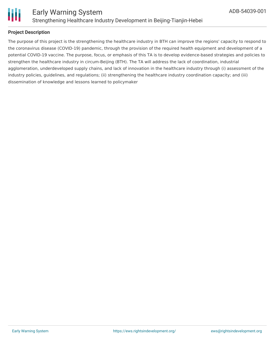

# Ш

#### **Project Description**

The purpose of this project is the strengthening the healthcare industry in BTH can improve the regions' capacity to respond to the coronavirus disease (COVID-19) pandemic, through the provision of the required health equipment and development of a potential COVID-19 vaccine. The purpose, focus, or emphasis of this TA is to develop evidence-based strategies and policies to strengthen the healthcare industry in circum-Beijing (BTH). The TA will address the lack of coordination, industrial agglomeration, underdeveloped supply chains, and lack of innovation in the healthcare industry through (i) assessment of the industry policies, guidelines, and regulations; (ii) strengthening the healthcare industry coordination capacity; and (iii) dissemination of knowledge and lessons learned to policymaker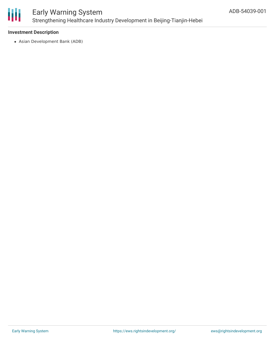

### Early Warning System Strengthening Healthcare Industry Development in Beijing-Tianjin-Hebei

#### **Investment Description**

Asian Development Bank (ADB)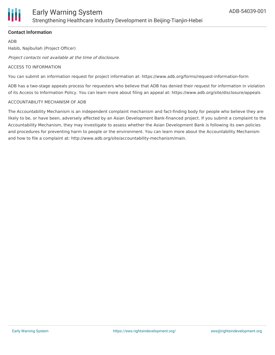

#### **Contact Information**

ADB

Habib, Najibullah (Project Officer)

Project contacts not available at the time of disclosure.

#### ACCESS TO INFORMATION

You can submit an information request for project information at: https://www.adb.org/forms/request-information-form

ADB has a two-stage appeals process for requesters who believe that ADB has denied their request for information in violation of its Access to Information Policy. You can learn more about filing an appeal at: https://www.adb.org/site/disclosure/appeals

#### ACCOUNTABILITY MECHANISM OF ADB

The Accountability Mechanism is an independent complaint mechanism and fact-finding body for people who believe they are likely to be, or have been, adversely affected by an Asian Development Bank-financed project. If you submit a complaint to the Accountability Mechanism, they may investigate to assess whether the Asian Development Bank is following its own policies and procedures for preventing harm to people or the environment. You can learn more about the Accountability Mechanism and how to file a complaint at: http://www.adb.org/site/accountability-mechanism/main.